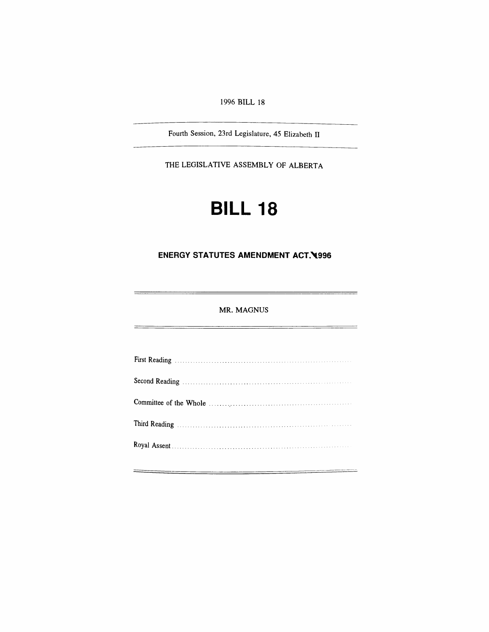*1996 BILL <sup>18</sup>*

*Fourth Session, 23rd Legislature, 45 Elizabeth II*

*THE LEGISLATIVE ASSEMBLY OF ALBERTA*

# *BILL 18*

## *ENERGY STATUTES AMENDMENT ACT, 1996*

## *MR. MAGNUS*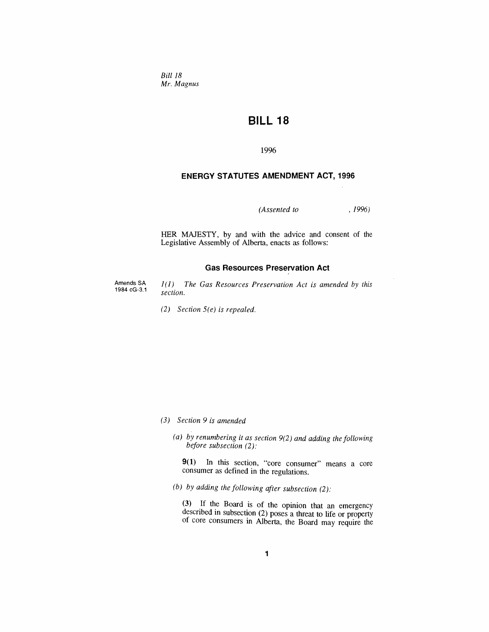*Bill 18 Mr. Magnus*

## *BILL 18*

*1996*

## *ENERGY STATUTES AMENDMENT ACT, 1996*

*(Assented to , 1996)*

 $\mathcal{L}$ 

*HER MAJESTY, by and with the advice and consent of the Legislative Assembly of Alberta, enacts as follows:*

#### *Gas Resources Preservation Act*

*Amends SA 1984 cG-3.1*

*1(1) The Gas Resources Preservation Act is amended by this section.*

*(2) Section 5(e) is repealed.*

- *(3) Section 9 is amended*
	- *(a) by renumbering it as section 9(2) and adding the following before subsection (2):*

*9(1) In this section, "core consumer" means a core consumer as defined in the regulations.*

*(b) by adding the following after subsection (2):*

*(3) If the Board is of the opinion that an emergency described in subsection (2) poses a threat to life or property of core consumers in Alberta, the Board may require the*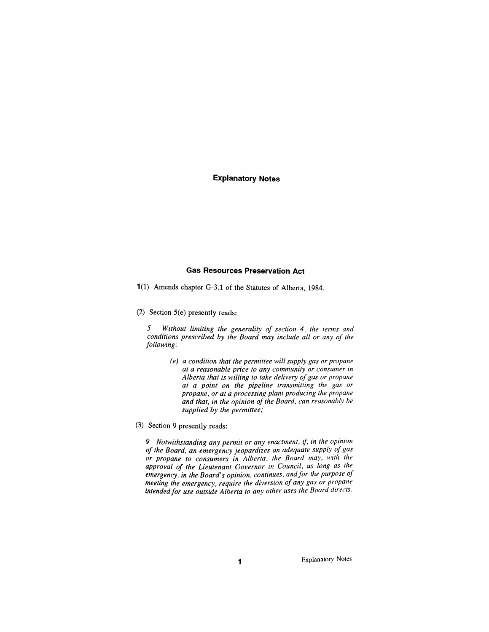#### *Explanatory Notes*

#### *Gas Resources Preservation Act*

*1(1) Amends chapter G-3.1 of the Statutes of Alberta, 1984.*

*(2) Section 5(e) presently reads:*

*5 Without limiting the generality of section 4, the terms and conditions prescribed by the Board may include all or any of the following:*

- *(e) a condition that the permittee will supply gas or propane at a reasonable price to any community or consumer in Alberta that is willing to take delivery ofgas or propane at a point on the pipeline transmitting the gas or propane, or at a processing plant producing the propane and that, in the opinion ofthe Board, can reasonably be supplied by the permittee;*
- *(3) Section 9 presently reads:*

*9 Notwithstanding any permit or any enactment, if, in the opinion of the Board, an emergency jeopardizes an adequate supply of gas or propane to consumers in Alberta, the Board may, with the approval of the Lieutenant Governor in Council, as long as the emergency, in the Board's opinion, continues, andfor the purpose of meeting the emergency, require the diversion of any gas or propane intendedfor use outside Alberta to any other uses the Board directs.*

*Explanatory Notes*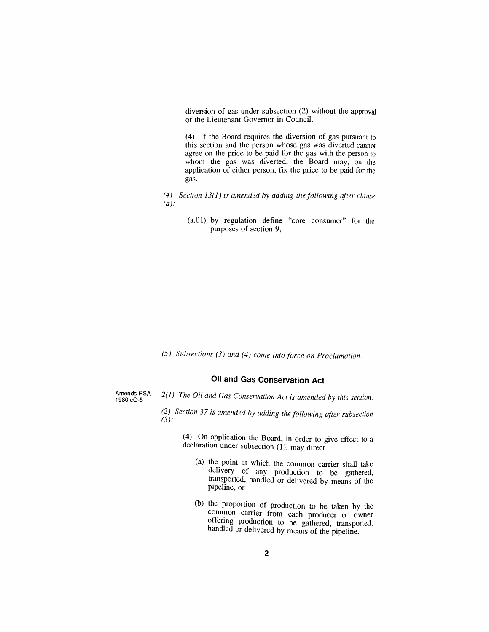*diversion of gas under subsection (2) without the approval of the Lieutenant Governor in Council.*

*(4) If the Board requires the diversion of gas pursuant to this section and the person whose gas was diverted cannot agree on the price to be paid for the gas with the person to whom the gas was diverted, the Board may, on the application of either person, fix the price to be paid for the gas.*

- *(4) Section 13(1) is amended by adding the following after clause (a):*
	- *(a.01) by regulation define "core consumer" for the purposes of section 9,*

*(5) Subsections (3) and (4) come into force on Proclamation.*

## *Oil and Gas Conservation Act*

*Amends RSA 1980 cO-5*

- *2(1) The Oil and Gas Conservation Act is amended by this section.*
- *(2) Section 37 is amended by adding the following after subsection (3):*

*(4) On application the Board, in order to give effect to a declaration under subsection (1), may direct*

- *(a) the point at which the common carrier shall take delivery of any production to be gathered, transported, handled or delivered by means of the pipeline, or*
- *(b) the proportion of production to be taken by the common carrier from each producer or owner offering production to be gathered, transported, handled or delivered by means of the pipeline.*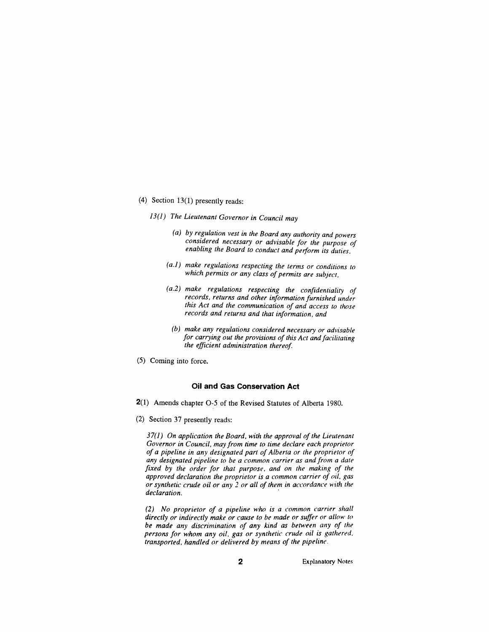- *(4) Section 13(1) presently reads:*
	- *13(1) The Lieutenant Governor in Council may*
		- *(a) by regulation vest in the Board any authority and powers considered necessary or advisable for the purpose of enabling the Board to conduct and perform its duties,*
		- *(a.1) make regulations respecting the terms or conditions to which permits or any class ofpermits are subject,*
		- *(a.2) make regulations respecting the confidentiality of records, returns and other information furnished under this Act and the communication of and access to those records and returns and that information, and*
		- *(b) make any regulations considered necessary or advisable for carrying out the provisions ofthis Act andfacilitating the efficient administration thereof.*
- *(5) Coming into force.*

#### *Oil and Gas Conservation Act*

- *2(1) Amends chapter O-5 of the Revised Statutes of Alberta 1980.*
- *(2) Section 37 presently reads:*

*37(1) On application the Board, with the approval ofthe Lieutenant Governor in Council, may from time to time declare each proprietor of a pipeline in any designated part ofAlberta or the proprietor of any designated pipeline to be a common carrier as and from a date fixed by the order for that purpose, and on the making of the approved declaration the proprietor is a common carrier of oil, gas or synthetic crude oil or any 2 or all of them in accordance with the declaration.*

*(2) No proprietor of a pipeline who is a common carrier shall directly or indirectly make or cause to be made or suffer or allow to be made any discrimination of any kind as between any of the persons for whom any oil, gas or synthetic crude oil is gathered, transported, handled or delivered by means of the pipeline.*

*2 Explanatory Notes*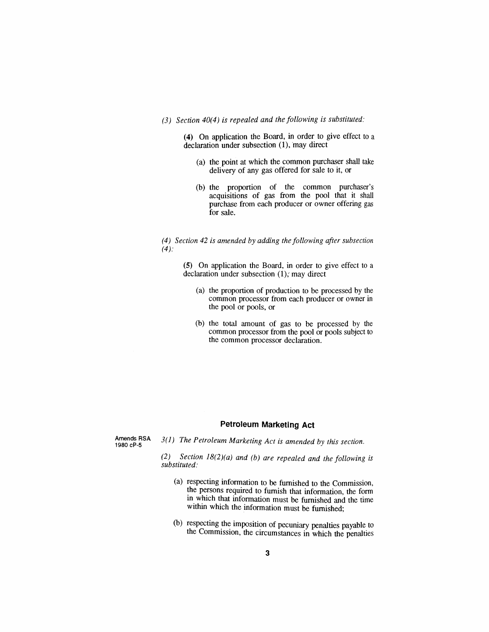### *(3) Section 40(4) is repealed and the following is substituted:*

*(4) On application the Board, in order to give effect to a declaration under subsection (1), may direct*

- *(a) the point at which the common purchaser shall take delivery of any gas offered for sale to it, or*
- *(b) the proportion of the common purchaser'<sup>s</sup> acquisitions of gas from the pool that it shall purchase from each producer or owner offering gas for sale.*

*(4) Section 42 is amended by adding thefollowing after subsection (4):*

*(5) On application the Board, in order to give effect to a declaration under subsection (1), may direct*

- *(a) the proportion of production to be processed by the common processor from each producer or owner in the pool or pools, or*
- *(b) the total amount of gas to be processed by the common processor from the pool or pools subject to the common processor declaration.*

## *Petroleum Marketing Act*

*Amends RSA 1980 cP-5*

*3(1) The Petroleum Marketing Act is amended by this section.*

*(2) Section 18(2)(a) and (b) are repealed and the following is substituted:*

- *(a) respecting information to be furnished to the Commission, the persons required to furnish that information, the form in which that information must be furnished and the time within which the information must be furnished;*
- *(b) respecting the imposition of pecuniary penalties payable to the Commission, the circumstances in which the penalties*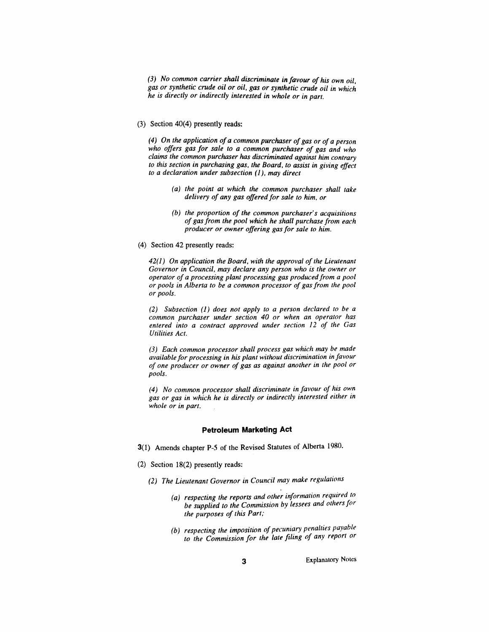*(3) No common carrier shall discriminate in favour of his own oil, gas or synthetic crude oil or oil, gas or synthetic crude oil in which he is directly or indirectly interested in whole or in part.*

*(3) Section 40(4) presently reads:*

*(4) On the application ofa common purchaser ofgas or of a person who offers gas for sale to a common purchaser of gas and who claims the common purchaser has discriminated against him contrary to this section in purchasing gas, the Board, to assist in giving effect to a declaration under subsection (1), may direct*

- *(a) the point at which the common purchaser shall take delivery of any gas offered for sale to him, or*
- *(b) the proportion of the common purchaser's acquisitions of gasfrom the pool which he shall purchase from each producer or owner offering gasfor sale to him.*
- *(4) Section 42 presently reads:*

*42(1) On application the Board, with the approval ofthe Lieutenant Governor in Council, may declare any person who is the owner or operator of a processing plant processing gas producedfrom a pool or pools in Alberta to be a common processor of gasfrom the pool or pools.*

*(2) Subsection (1) does not apply to a person declared to be a common purchaser under section 40 or when an operator has entered into a contract approved under section 12 of the Gas Utilities Act.*

*(3) Each common processor shall process gas which may be made available for processing in his plant without discrimination in favour of one producer or owner of gas as against another in the pool or pools.*

*(4) No common processor shall discriminate in favour of his own gas or gas in which he is directly or indirectly interested either in whole or in part.*

#### *Petroleum Marketing Act*

- *3(1) Amends chapter P-5 of the Revised Statutes of Alberta 1980.*
- *(2) Section 18(2) presently reads:*
	- *(2) The Lieutenant Governor in Council may make regulations*
		- *(a) respecting the reports and other information required to be supplied to the Commission by lessees and othersfor the purposes of this Part;*
		- *(b) respecting the imposition ofpecuniary penalties payable to the Commission for the late filing of any report or*

*Explanatory Notes*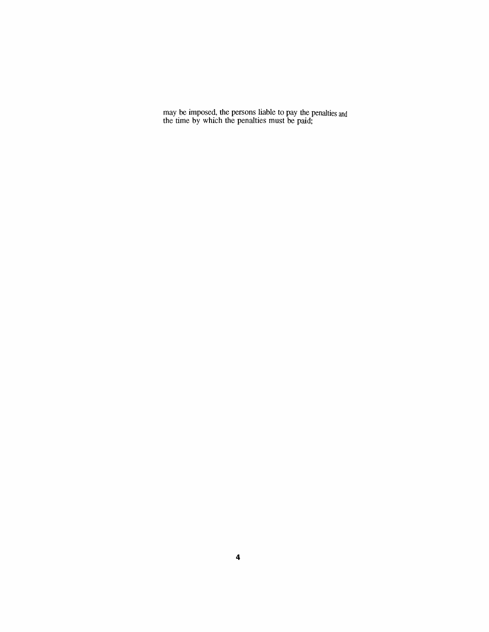*may be imposed, the persons liable to pay the penalties and the time by which the penalties must be paid;*